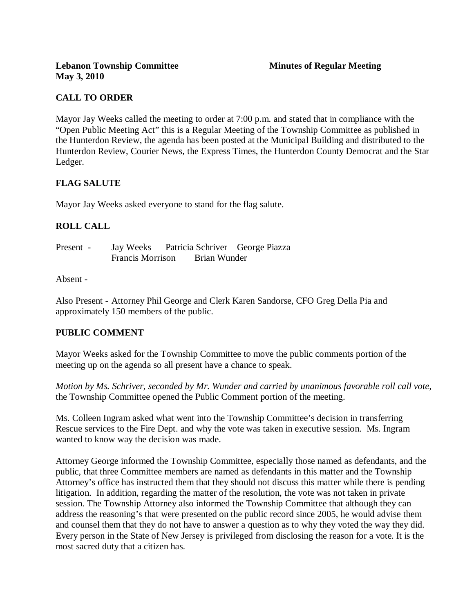# **CALL TO ORDER**

Mayor Jay Weeks called the meeting to order at 7:00 p.m. and stated that in compliance with the "Open Public Meeting Act" this is a Regular Meeting of the Township Committee as published in the Hunterdon Review, the agenda has been posted at the Municipal Building and distributed to the Hunterdon Review, Courier News, the Express Times, the Hunterdon County Democrat and the Star Ledger.

## **FLAG SALUTE**

Mayor Jay Weeks asked everyone to stand for the flag salute.

## **ROLL CALL**

| Present - | Jay Weeks               |              | Patricia Schriver George Piazza |
|-----------|-------------------------|--------------|---------------------------------|
|           | <b>Francis Morrison</b> | Brian Wunder |                                 |

#### Absent -

Also Present - Attorney Phil George and Clerk Karen Sandorse, CFO Greg Della Pia and approximately 150 members of the public.

#### **PUBLIC COMMENT**

Mayor Weeks asked for the Township Committee to move the public comments portion of the meeting up on the agenda so all present have a chance to speak.

*Motion by Ms. Schriver, seconded by Mr. Wunder and carried by unanimous favorable roll call vote,* the Township Committee opened the Public Comment portion of the meeting.

Ms. Colleen Ingram asked what went into the Township Committee's decision in transferring Rescue services to the Fire Dept. and why the vote was taken in executive session. Ms. Ingram wanted to know way the decision was made.

Attorney George informed the Township Committee, especially those named as defendants, and the public, that three Committee members are named as defendants in this matter and the Township Attorney's office has instructed them that they should not discuss this matter while there is pending litigation. In addition, regarding the matter of the resolution, the vote was not taken in private session. The Township Attorney also informed the Township Committee that although they can address the reasoning's that were presented on the public record since 2005, he would advise them and counsel them that they do not have to answer a question as to why they voted the way they did. Every person in the State of New Jersey is privileged from disclosing the reason for a vote. It is the most sacred duty that a citizen has.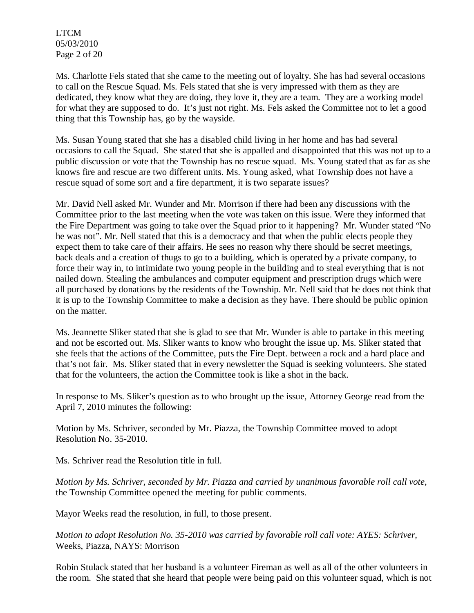LTCM 05/03/2010 Page 2 of 20

Ms. Charlotte Fels stated that she came to the meeting out of loyalty. She has had several occasions to call on the Rescue Squad. Ms. Fels stated that she is very impressed with them as they are dedicated, they know what they are doing, they love it, they are a team. They are a working model for what they are supposed to do. It's just not right. Ms. Fels asked the Committee not to let a good thing that this Township has, go by the wayside.

Ms. Susan Young stated that she has a disabled child living in her home and has had several occasions to call the Squad. She stated that she is appalled and disappointed that this was not up to a public discussion or vote that the Township has no rescue squad. Ms. Young stated that as far as she knows fire and rescue are two different units. Ms. Young asked, what Township does not have a rescue squad of some sort and a fire department, it is two separate issues?

Mr. David Nell asked Mr. Wunder and Mr. Morrison if there had been any discussions with the Committee prior to the last meeting when the vote was taken on this issue. Were they informed that the Fire Department was going to take over the Squad prior to it happening? Mr. Wunder stated "No he was not". Mr. Nell stated that this is a democracy and that when the public elects people they expect them to take care of their affairs. He sees no reason why there should be secret meetings, back deals and a creation of thugs to go to a building, which is operated by a private company, to force their way in, to intimidate two young people in the building and to steal everything that is not nailed down. Stealing the ambulances and computer equipment and prescription drugs which were all purchased by donations by the residents of the Township. Mr. Nell said that he does not think that it is up to the Township Committee to make a decision as they have. There should be public opinion on the matter.

Ms. Jeannette Sliker stated that she is glad to see that Mr. Wunder is able to partake in this meeting and not be escorted out. Ms. Sliker wants to know who brought the issue up. Ms. Sliker stated that she feels that the actions of the Committee, puts the Fire Dept. between a rock and a hard place and that's not fair. Ms. Sliker stated that in every newsletter the Squad is seeking volunteers. She stated that for the volunteers, the action the Committee took is like a shot in the back.

In response to Ms. Sliker's question as to who brought up the issue, Attorney George read from the April 7, 2010 minutes the following:

Motion by Ms. Schriver, seconded by Mr. Piazza, the Township Committee moved to adopt Resolution No. 35-2010.

Ms. Schriver read the Resolution title in full.

*Motion by Ms. Schriver, seconded by Mr. Piazza and carried by unanimous favorable roll call vote,* the Township Committee opened the meeting for public comments.

Mayor Weeks read the resolution, in full, to those present.

*Motion to adopt Resolution No. 35-2010 was carried by favorable roll call vote: AYES: Schriver,*  Weeks, Piazza, NAYS: Morrison

Robin Stulack stated that her husband is a volunteer Fireman as well as all of the other volunteers in the room. She stated that she heard that people were being paid on this volunteer squad, which is not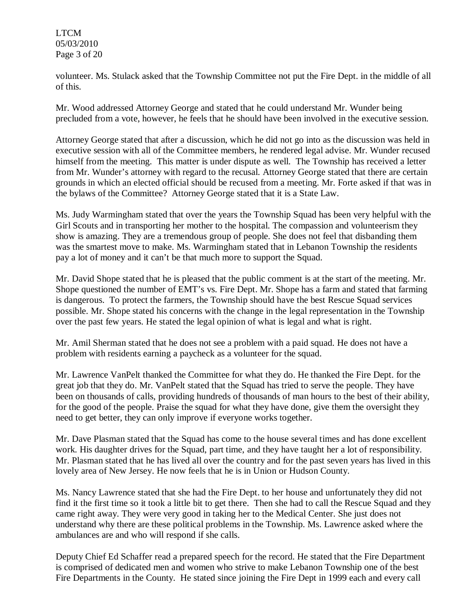LTCM 05/03/2010 Page 3 of 20

volunteer. Ms. Stulack asked that the Township Committee not put the Fire Dept. in the middle of all of this.

Mr. Wood addressed Attorney George and stated that he could understand Mr. Wunder being precluded from a vote, however, he feels that he should have been involved in the executive session.

Attorney George stated that after a discussion, which he did not go into as the discussion was held in executive session with all of the Committee members, he rendered legal advise. Mr. Wunder recused himself from the meeting. This matter is under dispute as well. The Township has received a letter from Mr. Wunder's attorney with regard to the recusal. Attorney George stated that there are certain grounds in which an elected official should be recused from a meeting. Mr. Forte asked if that was in the bylaws of the Committee? Attorney George stated that it is a State Law.

Ms. Judy Warmingham stated that over the years the Township Squad has been very helpful with the Girl Scouts and in transporting her mother to the hospital. The compassion and volunteerism they show is amazing. They are a tremendous group of people. She does not feel that disbanding them was the smartest move to make. Ms. Warmingham stated that in Lebanon Township the residents pay a lot of money and it can't be that much more to support the Squad.

Mr. David Shope stated that he is pleased that the public comment is at the start of the meeting. Mr. Shope questioned the number of EMT's vs. Fire Dept. Mr. Shope has a farm and stated that farming is dangerous. To protect the farmers, the Township should have the best Rescue Squad services possible. Mr. Shope stated his concerns with the change in the legal representation in the Township over the past few years. He stated the legal opinion of what is legal and what is right.

Mr. Amil Sherman stated that he does not see a problem with a paid squad. He does not have a problem with residents earning a paycheck as a volunteer for the squad.

Mr. Lawrence VanPelt thanked the Committee for what they do. He thanked the Fire Dept. for the great job that they do. Mr. VanPelt stated that the Squad has tried to serve the people. They have been on thousands of calls, providing hundreds of thousands of man hours to the best of their ability, for the good of the people. Praise the squad for what they have done, give them the oversight they need to get better, they can only improve if everyone works together.

Mr. Dave Plasman stated that the Squad has come to the house several times and has done excellent work. His daughter drives for the Squad, part time, and they have taught her a lot of responsibility. Mr. Plasman stated that he has lived all over the country and for the past seven years has lived in this lovely area of New Jersey. He now feels that he is in Union or Hudson County.

Ms. Nancy Lawrence stated that she had the Fire Dept. to her house and unfortunately they did not find it the first time so it took a little bit to get there. Then she had to call the Rescue Squad and they came right away. They were very good in taking her to the Medical Center. She just does not understand why there are these political problems in the Township. Ms. Lawrence asked where the ambulances are and who will respond if she calls.

Deputy Chief Ed Schaffer read a prepared speech for the record. He stated that the Fire Department is comprised of dedicated men and women who strive to make Lebanon Township one of the best Fire Departments in the County. He stated since joining the Fire Dept in 1999 each and every call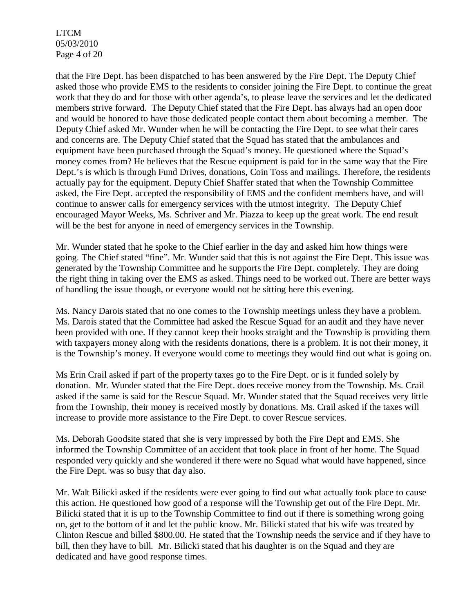LTCM 05/03/2010 Page 4 of 20

that the Fire Dept. has been dispatched to has been answered by the Fire Dept. The Deputy Chief asked those who provide EMS to the residents to consider joining the Fire Dept. to continue the great work that they do and for those with other agenda's, to please leave the services and let the dedicated members strive forward. The Deputy Chief stated that the Fire Dept. has always had an open door and would be honored to have those dedicated people contact them about becoming a member. The Deputy Chief asked Mr. Wunder when he will be contacting the Fire Dept. to see what their cares and concerns are. The Deputy Chief stated that the Squad has stated that the ambulances and equipment have been purchased through the Squad's money. He questioned where the Squad's money comes from? He believes that the Rescue equipment is paid for in the same way that the Fire Dept.'s is which is through Fund Drives, donations, Coin Toss and mailings. Therefore, the residents actually pay for the equipment. Deputy Chief Shaffer stated that when the Township Committee asked, the Fire Dept. accepted the responsibility of EMS and the confident members have, and will continue to answer calls for emergency services with the utmost integrity. The Deputy Chief encouraged Mayor Weeks, Ms. Schriver and Mr. Piazza to keep up the great work. The end result will be the best for anyone in need of emergency services in the Township.

Mr. Wunder stated that he spoke to the Chief earlier in the day and asked him how things were going. The Chief stated "fine". Mr. Wunder said that this is not against the Fire Dept. This issue was generated by the Township Committee and he supports the Fire Dept. completely. They are doing the right thing in taking over the EMS as asked. Things need to be worked out. There are better ways of handling the issue though, or everyone would not be sitting here this evening.

Ms. Nancy Darois stated that no one comes to the Township meetings unless they have a problem. Ms. Darois stated that the Committee had asked the Rescue Squad for an audit and they have never been provided with one. If they cannot keep their books straight and the Township is providing them with taxpayers money along with the residents donations, there is a problem. It is not their money, it is the Township's money. If everyone would come to meetings they would find out what is going on.

Ms Erin Crail asked if part of the property taxes go to the Fire Dept. or is it funded solely by donation. Mr. Wunder stated that the Fire Dept. does receive money from the Township. Ms. Crail asked if the same is said for the Rescue Squad. Mr. Wunder stated that the Squad receives very little from the Township, their money is received mostly by donations. Ms. Crail asked if the taxes will increase to provide more assistance to the Fire Dept. to cover Rescue services.

Ms. Deborah Goodsite stated that she is very impressed by both the Fire Dept and EMS. She informed the Township Committee of an accident that took place in front of her home. The Squad responded very quickly and she wondered if there were no Squad what would have happened, since the Fire Dept. was so busy that day also.

Mr. Walt Bilicki asked if the residents were ever going to find out what actually took place to cause this action. He questioned how good of a response will the Township get out of the Fire Dept. Mr. Bilicki stated that it is up to the Township Committee to find out if there is something wrong going on, get to the bottom of it and let the public know. Mr. Bilicki stated that his wife was treated by Clinton Rescue and billed \$800.00. He stated that the Township needs the service and if they have to bill, then they have to bill. Mr. Bilicki stated that his daughter is on the Squad and they are dedicated and have good response times.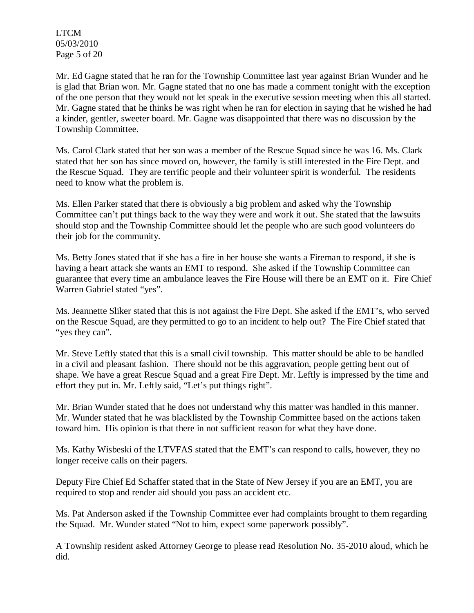LTCM 05/03/2010 Page 5 of 20

Mr. Ed Gagne stated that he ran for the Township Committee last year against Brian Wunder and he is glad that Brian won. Mr. Gagne stated that no one has made a comment tonight with the exception of the one person that they would not let speak in the executive session meeting when this all started. Mr. Gagne stated that he thinks he was right when he ran for election in saying that he wished he had a kinder, gentler, sweeter board. Mr. Gagne was disappointed that there was no discussion by the Township Committee.

Ms. Carol Clark stated that her son was a member of the Rescue Squad since he was 16. Ms. Clark stated that her son has since moved on, however, the family is still interested in the Fire Dept. and the Rescue Squad. They are terrific people and their volunteer spirit is wonderful. The residents need to know what the problem is.

Ms. Ellen Parker stated that there is obviously a big problem and asked why the Township Committee can't put things back to the way they were and work it out. She stated that the lawsuits should stop and the Township Committee should let the people who are such good volunteers do their job for the community.

Ms. Betty Jones stated that if she has a fire in her house she wants a Fireman to respond, if she is having a heart attack she wants an EMT to respond. She asked if the Township Committee can guarantee that every time an ambulance leaves the Fire House will there be an EMT on it. Fire Chief Warren Gabriel stated "yes".

Ms. Jeannette Sliker stated that this is not against the Fire Dept. She asked if the EMT's, who served on the Rescue Squad, are they permitted to go to an incident to help out? The Fire Chief stated that "yes they can".

Mr. Steve Leftly stated that this is a small civil township. This matter should be able to be handled in a civil and pleasant fashion. There should not be this aggravation, people getting bent out of shape. We have a great Rescue Squad and a great Fire Dept. Mr. Leftly is impressed by the time and effort they put in. Mr. Leftly said, "Let's put things right".

Mr. Brian Wunder stated that he does not understand why this matter was handled in this manner. Mr. Wunder stated that he was blacklisted by the Township Committee based on the actions taken toward him. His opinion is that there in not sufficient reason for what they have done.

Ms. Kathy Wisbeski of the LTVFAS stated that the EMT's can respond to calls, however, they no longer receive calls on their pagers.

Deputy Fire Chief Ed Schaffer stated that in the State of New Jersey if you are an EMT, you are required to stop and render aid should you pass an accident etc.

Ms. Pat Anderson asked if the Township Committee ever had complaints brought to them regarding the Squad. Mr. Wunder stated "Not to him, expect some paperwork possibly".

A Township resident asked Attorney George to please read Resolution No. 35-2010 aloud, which he did.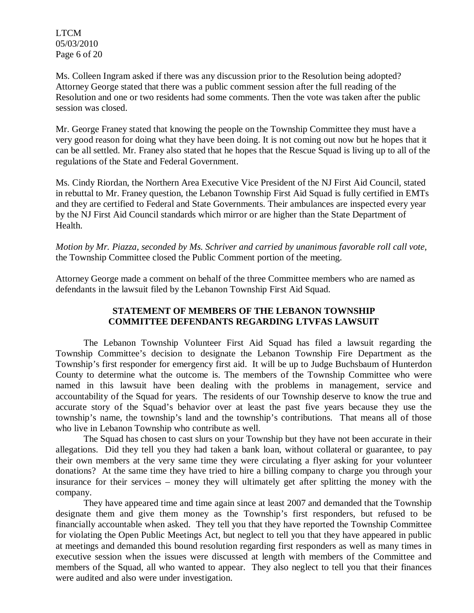LTCM 05/03/2010 Page 6 of 20

Ms. Colleen Ingram asked if there was any discussion prior to the Resolution being adopted? Attorney George stated that there was a public comment session after the full reading of the Resolution and one or two residents had some comments. Then the vote was taken after the public session was closed.

Mr. George Franey stated that knowing the people on the Township Committee they must have a very good reason for doing what they have been doing. It is not coming out now but he hopes that it can be all settled. Mr. Franey also stated that he hopes that the Rescue Squad is living up to all of the regulations of the State and Federal Government.

Ms. Cindy Riordan, the Northern Area Executive Vice President of the NJ First Aid Council, stated in rebuttal to Mr. Franey question, the Lebanon Township First Aid Squad is fully certified in EMTs and they are certified to Federal and State Governments. Their ambulances are inspected every year by the NJ First Aid Council standards which mirror or are higher than the State Department of Health.

*Motion by Mr. Piazza, seconded by Ms. Schriver and carried by unanimous favorable roll call vote,* the Township Committee closed the Public Comment portion of the meeting.

Attorney George made a comment on behalf of the three Committee members who are named as defendants in the lawsuit filed by the Lebanon Township First Aid Squad.

## **STATEMENT OF MEMBERS OF THE LEBANON TOWNSHIP COMMITTEE DEFENDANTS REGARDING LTVFAS LAWSUIT**

The Lebanon Township Volunteer First Aid Squad has filed a lawsuit regarding the Township Committee's decision to designate the Lebanon Township Fire Department as the Township's first responder for emergency first aid. It will be up to Judge Buchsbaum of Hunterdon County to determine what the outcome is. The members of the Township Committee who were named in this lawsuit have been dealing with the problems in management, service and accountability of the Squad for years. The residents of our Township deserve to know the true and accurate story of the Squad's behavior over at least the past five years because they use the township's name, the township's land and the township's contributions. That means all of those who live in Lebanon Township who contribute as well.

The Squad has chosen to cast slurs on your Township but they have not been accurate in their allegations. Did they tell you they had taken a bank loan, without collateral or guarantee, to pay their own members at the very same time they were circulating a flyer asking for your volunteer donations? At the same time they have tried to hire a billing company to charge you through your insurance for their services – money they will ultimately get after splitting the money with the company.

They have appeared time and time again since at least 2007 and demanded that the Township designate them and give them money as the Township's first responders, but refused to be financially accountable when asked. They tell you that they have reported the Township Committee for violating the Open Public Meetings Act, but neglect to tell you that they have appeared in public at meetings and demanded this bound resolution regarding first responders as well as many times in executive session when the issues were discussed at length with members of the Committee and members of the Squad, all who wanted to appear. They also neglect to tell you that their finances were audited and also were under investigation.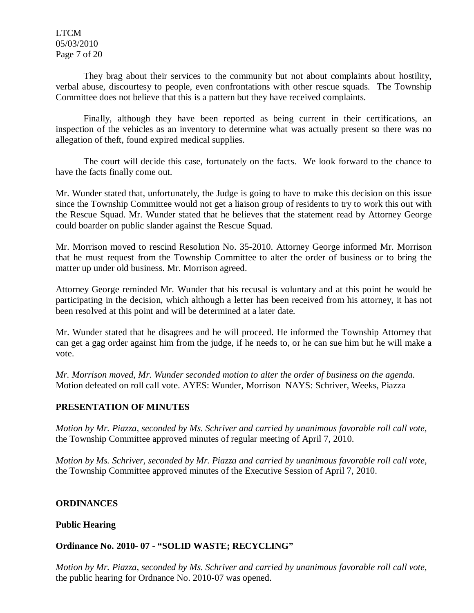LTCM 05/03/2010 Page 7 of 20

They brag about their services to the community but not about complaints about hostility, verbal abuse, discourtesy to people, even confrontations with other rescue squads. The Township Committee does not believe that this is a pattern but they have received complaints.

Finally, although they have been reported as being current in their certifications, an inspection of the vehicles as an inventory to determine what was actually present so there was no allegation of theft, found expired medical supplies.

The court will decide this case, fortunately on the facts. We look forward to the chance to have the facts finally come out.

Mr. Wunder stated that, unfortunately, the Judge is going to have to make this decision on this issue since the Township Committee would not get a liaison group of residents to try to work this out with the Rescue Squad. Mr. Wunder stated that he believes that the statement read by Attorney George could boarder on public slander against the Rescue Squad.

Mr. Morrison moved to rescind Resolution No. 35-2010. Attorney George informed Mr. Morrison that he must request from the Township Committee to alter the order of business or to bring the matter up under old business. Mr. Morrison agreed.

Attorney George reminded Mr. Wunder that his recusal is voluntary and at this point he would be participating in the decision, which although a letter has been received from his attorney, it has not been resolved at this point and will be determined at a later date.

Mr. Wunder stated that he disagrees and he will proceed. He informed the Township Attorney that can get a gag order against him from the judge, if he needs to, or he can sue him but he will make a vote.

*Mr. Morrison moved, Mr. Wunder seconded motion to alter the order of business on the agenda.*  Motion defeated on roll call vote. AYES: Wunder, Morrison NAYS: Schriver, Weeks, Piazza

#### **PRESENTATION OF MINUTES**

*Motion by Mr. Piazza, seconded by Ms. Schriver and carried by unanimous favorable roll call vote,* the Township Committee approved minutes of regular meeting of April 7, 2010.

*Motion by Ms. Schriver, seconded by Mr. Piazza and carried by unanimous favorable roll call vote,* the Township Committee approved minutes of the Executive Session of April 7, 2010.

## **ORDINANCES**

#### **Public Hearing**

#### **Ordinance No. 2010- 07 - "SOLID WASTE; RECYCLING"**

*Motion by Mr. Piazza, seconded by Ms. Schriver and carried by unanimous favorable roll call vote,* the public hearing for Ordnance No. 2010-07 was opened.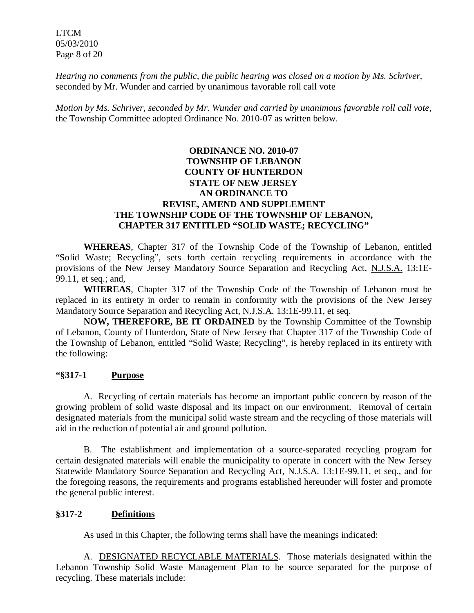LTCM 05/03/2010 Page 8 of 20

*Hearing no comments from the public, the public hearing was closed on a motion by Ms. Schriver,* seconded by Mr. Wunder and carried by unanimous favorable roll call vote

*Motion by Ms. Schriver, seconded by Mr. Wunder and carried by unanimous favorable roll call vote,* the Township Committee adopted Ordinance No. 2010-07 as written below.

### **ORDINANCE NO. 2010-07 TOWNSHIP OF LEBANON COUNTY OF HUNTERDON STATE OF NEW JERSEY AN ORDINANCE TO REVISE, AMEND AND SUPPLEMENT THE TOWNSHIP CODE OF THE TOWNSHIP OF LEBANON, CHAPTER 317 ENTITLED "SOLID WASTE; RECYCLING"**

**WHEREAS**, Chapter 317 of the Township Code of the Township of Lebanon, entitled "Solid Waste; Recycling", sets forth certain recycling requirements in accordance with the provisions of the New Jersey Mandatory Source Separation and Recycling Act, N.J.S.A. 13:1E-99.11, et seq.; and,

**WHEREAS**, Chapter 317 of the Township Code of the Township of Lebanon must be replaced in its entirety in order to remain in conformity with the provisions of the New Jersey Mandatory Source Separation and Recycling Act, N.J.S.A. 13:1E-99.11, et seq.

**NOW, THEREFORE, BE IT ORDAINED** by the Township Committee of the Township of Lebanon, County of Hunterdon, State of New Jersey that Chapter 317 of the Township Code of the Township of Lebanon, entitled "Solid Waste; Recycling", is hereby replaced in its entirety with the following:

#### **"§317-1 Purpose**

A. Recycling of certain materials has become an important public concern by reason of the growing problem of solid waste disposal and its impact on our environment. Removal of certain designated materials from the municipal solid waste stream and the recycling of those materials will aid in the reduction of potential air and ground pollution.

B. The establishment and implementation of a source-separated recycling program for certain designated materials will enable the municipality to operate in concert with the New Jersey Statewide Mandatory Source Separation and Recycling Act, N.J.S.A. 13:1E-99.11, et seq., and for the foregoing reasons, the requirements and programs established hereunder will foster and promote the general public interest.

#### **§317-2 Definitions**

As used in this Chapter, the following terms shall have the meanings indicated:

A. DESIGNATED RECYCLABLE MATERIALS. Those materials designated within the Lebanon Township Solid Waste Management Plan to be source separated for the purpose of recycling. These materials include: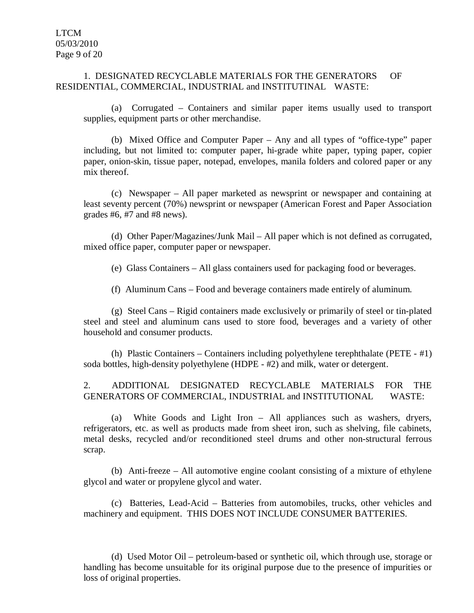#### 1. DESIGNATED RECYCLABLE MATERIALS FOR THE GENERATORS OF RESIDENTIAL, COMMERCIAL, INDUSTRIAL and INSTITUTINAL WASTE:

(a) Corrugated – Containers and similar paper items usually used to transport supplies, equipment parts or other merchandise.

(b) Mixed Office and Computer Paper – Any and all types of "office-type" paper including, but not limited to: computer paper, hi-grade white paper, typing paper, copier paper, onion-skin, tissue paper, notepad, envelopes, manila folders and colored paper or any mix thereof.

(c) Newspaper – All paper marketed as newsprint or newspaper and containing at least seventy percent (70%) newsprint or newspaper (American Forest and Paper Association grades  $#6, #7$  and  $#8$  news).

(d) Other Paper/Magazines/Junk Mail – All paper which is not defined as corrugated, mixed office paper, computer paper or newspaper.

(e) Glass Containers – All glass containers used for packaging food or beverages.

(f) Aluminum Cans – Food and beverage containers made entirely of aluminum.

(g) Steel Cans – Rigid containers made exclusively or primarily of steel or tin-plated steel and steel and aluminum cans used to store food, beverages and a variety of other household and consumer products.

(h) Plastic Containers – Containers including polyethylene terephthalate (PETE - #1) soda bottles, high-density polyethylene (HDPE - #2) and milk, water or detergent.

2. ADDITIONAL DESIGNATED RECYCLABLE MATERIALS FOR THE GENERATORS OF COMMERCIAL, INDUSTRIAL and INSTITUTIONAL WASTE:

(a) White Goods and Light Iron – All appliances such as washers, dryers, refrigerators, etc. as well as products made from sheet iron, such as shelving, file cabinets, metal desks, recycled and/or reconditioned steel drums and other non-structural ferrous scrap.

(b) Anti-freeze – All automotive engine coolant consisting of a mixture of ethylene glycol and water or propylene glycol and water.

(c) Batteries, Lead-Acid – Batteries from automobiles, trucks, other vehicles and machinery and equipment. THIS DOES NOT INCLUDE CONSUMER BATTERIES.

(d) Used Motor Oil – petroleum-based or synthetic oil, which through use, storage or handling has become unsuitable for its original purpose due to the presence of impurities or loss of original properties.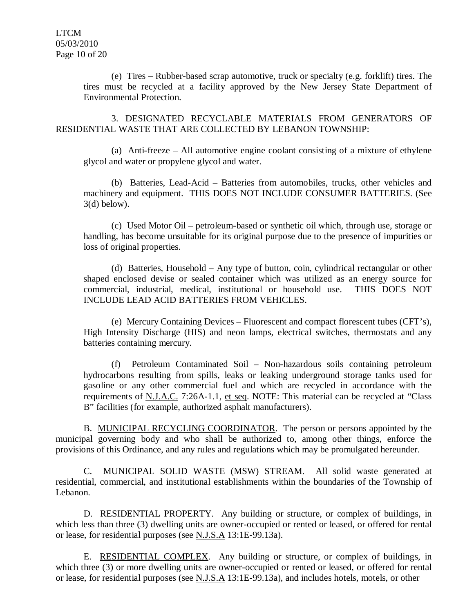(e) Tires – Rubber-based scrap automotive, truck or specialty (e.g. forklift) tires. The tires must be recycled at a facility approved by the New Jersey State Department of Environmental Protection.

3. DESIGNATED RECYCLABLE MATERIALS FROM GENERATORS OF RESIDENTIAL WASTE THAT ARE COLLECTED BY LEBANON TOWNSHIP:

(a) Anti-freeze – All automotive engine coolant consisting of a mixture of ethylene glycol and water or propylene glycol and water.

(b) Batteries, Lead-Acid – Batteries from automobiles, trucks, other vehicles and machinery and equipment. THIS DOES NOT INCLUDE CONSUMER BATTERIES. (See  $3(d)$  below).

(c) Used Motor Oil – petroleum-based or synthetic oil which, through use, storage or handling, has become unsuitable for its original purpose due to the presence of impurities or loss of original properties.

(d) Batteries, Household – Any type of button, coin, cylindrical rectangular or other shaped enclosed devise or sealed container which was utilized as an energy source for commercial, industrial, medical, institutional or household use. THIS DOES NOT INCLUDE LEAD ACID BATTERIES FROM VEHICLES.

(e) Mercury Containing Devices – Fluorescent and compact florescent tubes (CFT's), High Intensity Discharge (HIS) and neon lamps, electrical switches, thermostats and any batteries containing mercury.

(f) Petroleum Contaminated Soil – Non-hazardous soils containing petroleum hydrocarbons resulting from spills, leaks or leaking underground storage tanks used for gasoline or any other commercial fuel and which are recycled in accordance with the requirements of N.J.A.C. 7:26A-1.1, et seq. NOTE: This material can be recycled at "Class B" facilities (for example, authorized asphalt manufacturers).

B. MUNICIPAL RECYCLING COORDINATOR. The person or persons appointed by the municipal governing body and who shall be authorized to, among other things, enforce the provisions of this Ordinance, and any rules and regulations which may be promulgated hereunder.

C. MUNICIPAL SOLID WASTE (MSW) STREAM. All solid waste generated at residential, commercial, and institutional establishments within the boundaries of the Township of Lebanon.

D. RESIDENTIAL PROPERTY. Any building or structure, or complex of buildings, in which less than three (3) dwelling units are owner-occupied or rented or leased, or offered for rental or lease, for residential purposes (see N.J.S.A 13:1E-99.13a).

E. RESIDENTIAL COMPLEX. Any building or structure, or complex of buildings, in which three (3) or more dwelling units are owner-occupied or rented or leased, or offered for rental or lease, for residential purposes (see N.J.S.A 13:1E-99.13a), and includes hotels, motels, or other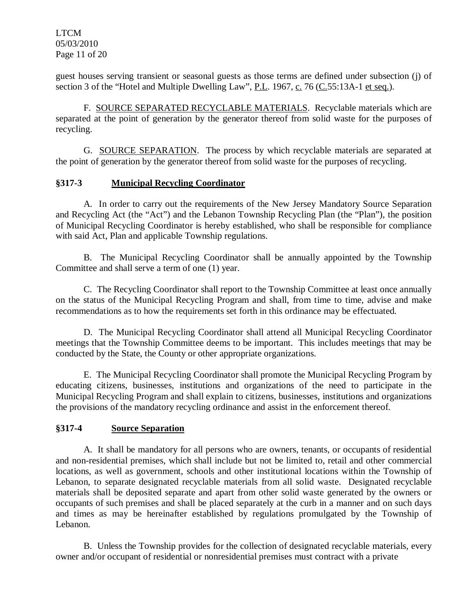LTCM 05/03/2010 Page 11 of 20

guest houses serving transient or seasonal guests as those terms are defined under subsection (j) of section 3 of the "Hotel and Multiple Dwelling Law", P.L. 1967, c. 76 ( $C.55:13A-1$  et seq.).

F. SOURCE SEPARATED RECYCLABLE MATERIALS. Recyclable materials which are separated at the point of generation by the generator thereof from solid waste for the purposes of recycling.

G. SOURCE SEPARATION. The process by which recyclable materials are separated at the point of generation by the generator thereof from solid waste for the purposes of recycling.

### **§317-3 Municipal Recycling Coordinator**

A. In order to carry out the requirements of the New Jersey Mandatory Source Separation and Recycling Act (the "Act") and the Lebanon Township Recycling Plan (the "Plan"), the position of Municipal Recycling Coordinator is hereby established, who shall be responsible for compliance with said Act, Plan and applicable Township regulations.

B. The Municipal Recycling Coordinator shall be annually appointed by the Township Committee and shall serve a term of one (1) year.

C. The Recycling Coordinator shall report to the Township Committee at least once annually on the status of the Municipal Recycling Program and shall, from time to time, advise and make recommendations as to how the requirements set forth in this ordinance may be effectuated.

D. The Municipal Recycling Coordinator shall attend all Municipal Recycling Coordinator meetings that the Township Committee deems to be important. This includes meetings that may be conducted by the State, the County or other appropriate organizations.

E. The Municipal Recycling Coordinator shall promote the Municipal Recycling Program by educating citizens, businesses, institutions and organizations of the need to participate in the Municipal Recycling Program and shall explain to citizens, businesses, institutions and organizations the provisions of the mandatory recycling ordinance and assist in the enforcement thereof.

#### **§317-4 Source Separation**

A. It shall be mandatory for all persons who are owners, tenants, or occupants of residential and non-residential premises, which shall include but not be limited to, retail and other commercial locations, as well as government, schools and other institutional locations within the Township of Lebanon, to separate designated recyclable materials from all solid waste. Designated recyclable materials shall be deposited separate and apart from other solid waste generated by the owners or occupants of such premises and shall be placed separately at the curb in a manner and on such days and times as may be hereinafter established by regulations promulgated by the Township of Lebanon.

B. Unless the Township provides for the collection of designated recyclable materials, every owner and/or occupant of residential or nonresidential premises must contract with a private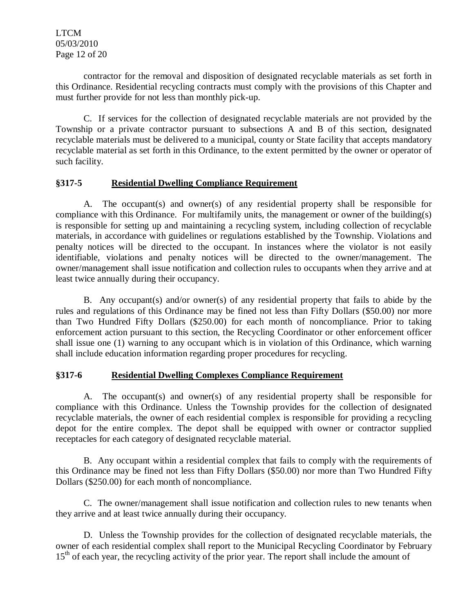LTCM 05/03/2010 Page 12 of 20

contractor for the removal and disposition of designated recyclable materials as set forth in this Ordinance. Residential recycling contracts must comply with the provisions of this Chapter and must further provide for not less than monthly pick-up.

C. If services for the collection of designated recyclable materials are not provided by the Township or a private contractor pursuant to subsections A and B of this section, designated recyclable materials must be delivered to a municipal, county or State facility that accepts mandatory recyclable material as set forth in this Ordinance, to the extent permitted by the owner or operator of such facility.

## **§317-5 Residential Dwelling Compliance Requirement**

A. The occupant(s) and owner(s) of any residential property shall be responsible for compliance with this Ordinance. For multifamily units, the management or owner of the building(s) is responsible for setting up and maintaining a recycling system, including collection of recyclable materials, in accordance with guidelines or regulations established by the Township. Violations and penalty notices will be directed to the occupant. In instances where the violator is not easily identifiable, violations and penalty notices will be directed to the owner/management. The owner/management shall issue notification and collection rules to occupants when they arrive and at least twice annually during their occupancy.

B. Any occupant(s) and/or owner(s) of any residential property that fails to abide by the rules and regulations of this Ordinance may be fined not less than Fifty Dollars (\$50.00) nor more than Two Hundred Fifty Dollars (\$250.00) for each month of noncompliance. Prior to taking enforcement action pursuant to this section, the Recycling Coordinator or other enforcement officer shall issue one (1) warning to any occupant which is in violation of this Ordinance, which warning shall include education information regarding proper procedures for recycling.

## **§317-6 Residential Dwelling Complexes Compliance Requirement**

A. The occupant(s) and owner(s) of any residential property shall be responsible for compliance with this Ordinance. Unless the Township provides for the collection of designated recyclable materials, the owner of each residential complex is responsible for providing a recycling depot for the entire complex. The depot shall be equipped with owner or contractor supplied receptacles for each category of designated recyclable material.

B. Any occupant within a residential complex that fails to comply with the requirements of this Ordinance may be fined not less than Fifty Dollars (\$50.00) nor more than Two Hundred Fifty Dollars (\$250.00) for each month of noncompliance.

C. The owner/management shall issue notification and collection rules to new tenants when they arrive and at least twice annually during their occupancy.

D. Unless the Township provides for the collection of designated recyclable materials, the owner of each residential complex shall report to the Municipal Recycling Coordinator by February 15<sup>th</sup> of each year, the recycling activity of the prior year. The report shall include the amount of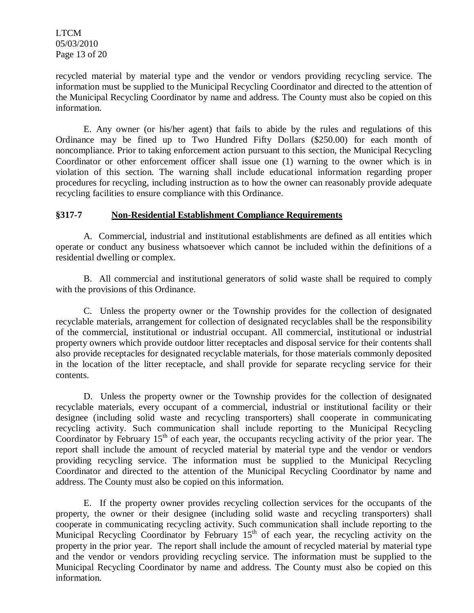LTCM 05/03/2010 Page 13 of 20

recycled material by material type and the vendor or vendors providing recycling service. The information must be supplied to the Municipal Recycling Coordinator and directed to the attention of the Municipal Recycling Coordinator by name and address. The County must also be copied on this information.

E. Any owner (or his/her agent) that fails to abide by the rules and regulations of this Ordinance may be fined up to Two Hundred Fifty Dollars (\$250.00) for each month of noncompliance. Prior to taking enforcement action pursuant to this section, the Municipal Recycling Coordinator or other enforcement officer shall issue one (1) warning to the owner which is in violation of this section. The warning shall include educational information regarding proper procedures for recycling, including instruction as to how the owner can reasonably provide adequate recycling facilities to ensure compliance with this Ordinance.

### **§317-7 Non-Residential Establishment Compliance Requirements**

A. Commercial, industrial and institutional establishments are defined as all entities which operate or conduct any business whatsoever which cannot be included within the definitions of a residential dwelling or complex.

B. All commercial and institutional generators of solid waste shall be required to comply with the provisions of this Ordinance.

C. Unless the property owner or the Township provides for the collection of designated recyclable materials, arrangement for collection of designated recyclables shall be the responsibility of the commercial, institutional or industrial occupant. All commercial, institutional or industrial property owners which provide outdoor litter receptacles and disposal service for their contents shall also provide receptacles for designated recyclable materials, for those materials commonly deposited in the location of the litter receptacle, and shall provide for separate recycling service for their contents.

D. Unless the property owner or the Township provides for the collection of designated recyclable materials, every occupant of a commercial, industrial or institutional facility or their designee (including solid waste and recycling transporters) shall cooperate in communicating recycling activity. Such communication shall include reporting to the Municipal Recycling Coordinator by February  $15<sup>th</sup>$  of each year, the occupants recycling activity of the prior year. The report shall include the amount of recycled material by material type and the vendor or vendors providing recycling service. The information must be supplied to the Municipal Recycling Coordinator and directed to the attention of the Municipal Recycling Coordinator by name and address. The County must also be copied on this information.

E. If the property owner provides recycling collection services for the occupants of the property, the owner or their designee (including solid waste and recycling transporters) shall cooperate in communicating recycling activity. Such communication shall include reporting to the Municipal Recycling Coordinator by February  $15<sup>th</sup>$  of each year, the recycling activity on the property in the prior year. The report shall include the amount of recycled material by material type and the vendor or vendors providing recycling service. The information must be supplied to the Municipal Recycling Coordinator by name and address. The County must also be copied on this information.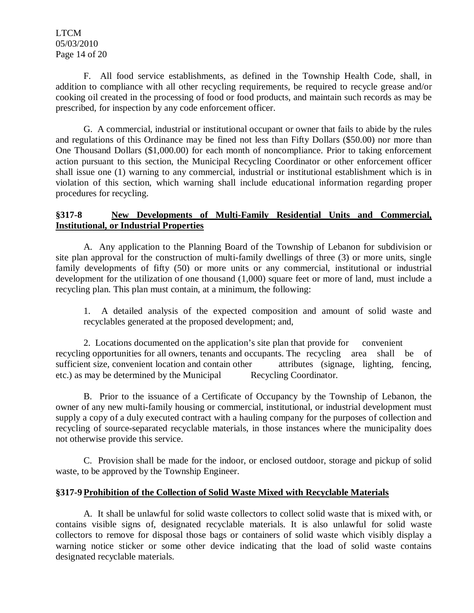LTCM 05/03/2010 Page 14 of 20

F. All food service establishments, as defined in the Township Health Code, shall, in addition to compliance with all other recycling requirements, be required to recycle grease and/or cooking oil created in the processing of food or food products, and maintain such records as may be prescribed, for inspection by any code enforcement officer.

G. A commercial, industrial or institutional occupant or owner that fails to abide by the rules and regulations of this Ordinance may be fined not less than Fifty Dollars (\$50.00) nor more than One Thousand Dollars (\$1,000.00) for each month of noncompliance. Prior to taking enforcement action pursuant to this section, the Municipal Recycling Coordinator or other enforcement officer shall issue one (1) warning to any commercial, industrial or institutional establishment which is in violation of this section, which warning shall include educational information regarding proper procedures for recycling.

## **§317-8 New Developments of Multi-Family Residential Units and Commercial, Institutional, or Industrial Properties**

A. Any application to the Planning Board of the Township of Lebanon for subdivision or site plan approval for the construction of multi-family dwellings of three (3) or more units, single family developments of fifty (50) or more units or any commercial, institutional or industrial development for the utilization of one thousand (1,000) square feet or more of land, must include a recycling plan. This plan must contain, at a minimum, the following:

1. A detailed analysis of the expected composition and amount of solid waste and recyclables generated at the proposed development; and,

2. Locations documented on the application's site plan that provide for convenient recycling opportunities for all owners, tenants and occupants. The recycling area shall be of sufficient size, convenient location and contain other attributes (signage, lighting, fencing, etc.) as may be determined by the Municipal Recycling Coordinator.

B. Prior to the issuance of a Certificate of Occupancy by the Township of Lebanon, the owner of any new multi-family housing or commercial, institutional, or industrial development must supply a copy of a duly executed contract with a hauling company for the purposes of collection and recycling of source-separated recyclable materials, in those instances where the municipality does not otherwise provide this service.

C. Provision shall be made for the indoor, or enclosed outdoor, storage and pickup of solid waste, to be approved by the Township Engineer.

#### **§317-9 Prohibition of the Collection of Solid Waste Mixed with Recyclable Materials**

A. It shall be unlawful for solid waste collectors to collect solid waste that is mixed with, or contains visible signs of, designated recyclable materials. It is also unlawful for solid waste collectors to remove for disposal those bags or containers of solid waste which visibly display a warning notice sticker or some other device indicating that the load of solid waste contains designated recyclable materials.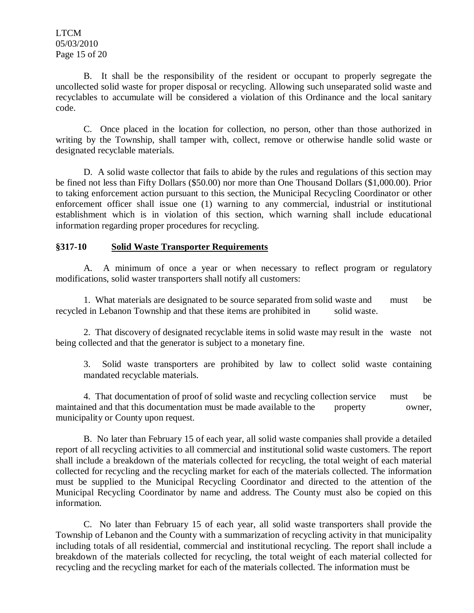LTCM 05/03/2010 Page 15 of 20

B. It shall be the responsibility of the resident or occupant to properly segregate the uncollected solid waste for proper disposal or recycling. Allowing such unseparated solid waste and recyclables to accumulate will be considered a violation of this Ordinance and the local sanitary code.

C. Once placed in the location for collection, no person, other than those authorized in writing by the Township, shall tamper with, collect, remove or otherwise handle solid waste or designated recyclable materials.

D. A solid waste collector that fails to abide by the rules and regulations of this section may be fined not less than Fifty Dollars (\$50.00) nor more than One Thousand Dollars (\$1,000.00). Prior to taking enforcement action pursuant to this section, the Municipal Recycling Coordinator or other enforcement officer shall issue one (1) warning to any commercial, industrial or institutional establishment which is in violation of this section, which warning shall include educational information regarding proper procedures for recycling.

### **§317-10 Solid Waste Transporter Requirements**

A. A minimum of once a year or when necessary to reflect program or regulatory modifications, solid waster transporters shall notify all customers:

1. What materials are designated to be source separated from solid waste and must be recycled in Lebanon Township and that these items are prohibited in solid waste.

2. That discovery of designated recyclable items in solid waste may result in the waste not being collected and that the generator is subject to a monetary fine.

3. Solid waste transporters are prohibited by law to collect solid waste containing mandated recyclable materials.

4. That documentation of proof of solid waste and recycling collection service must be maintained and that this documentation must be made available to the property owner, municipality or County upon request.

B. No later than February 15 of each year, all solid waste companies shall provide a detailed report of all recycling activities to all commercial and institutional solid waste customers. The report shall include a breakdown of the materials collected for recycling, the total weight of each material collected for recycling and the recycling market for each of the materials collected. The information must be supplied to the Municipal Recycling Coordinator and directed to the attention of the Municipal Recycling Coordinator by name and address. The County must also be copied on this information.

C. No later than February 15 of each year, all solid waste transporters shall provide the Township of Lebanon and the County with a summarization of recycling activity in that municipality including totals of all residential, commercial and institutional recycling. The report shall include a breakdown of the materials collected for recycling, the total weight of each material collected for recycling and the recycling market for each of the materials collected. The information must be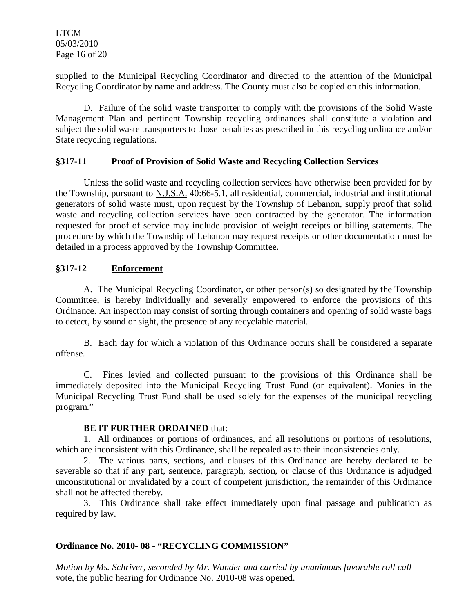LTCM 05/03/2010 Page 16 of 20

supplied to the Municipal Recycling Coordinator and directed to the attention of the Municipal Recycling Coordinator by name and address. The County must also be copied on this information.

D. Failure of the solid waste transporter to comply with the provisions of the Solid Waste Management Plan and pertinent Township recycling ordinances shall constitute a violation and subject the solid waste transporters to those penalties as prescribed in this recycling ordinance and/or State recycling regulations.

### **§317-11 Proof of Provision of Solid Waste and Recycling Collection Services**

Unless the solid waste and recycling collection services have otherwise been provided for by the Township, pursuant to N.J.S.A. 40:66-5.1, all residential, commercial, industrial and institutional generators of solid waste must, upon request by the Township of Lebanon, supply proof that solid waste and recycling collection services have been contracted by the generator. The information requested for proof of service may include provision of weight receipts or billing statements. The procedure by which the Township of Lebanon may request receipts or other documentation must be detailed in a process approved by the Township Committee.

### **§317-12 Enforcement**

A. The Municipal Recycling Coordinator, or other person(s) so designated by the Township Committee, is hereby individually and severally empowered to enforce the provisions of this Ordinance. An inspection may consist of sorting through containers and opening of solid waste bags to detect, by sound or sight, the presence of any recyclable material.

B. Each day for which a violation of this Ordinance occurs shall be considered a separate offense.

C. Fines levied and collected pursuant to the provisions of this Ordinance shall be immediately deposited into the Municipal Recycling Trust Fund (or equivalent). Monies in the Municipal Recycling Trust Fund shall be used solely for the expenses of the municipal recycling program."

#### **BE IT FURTHER ORDAINED** that:

1. All ordinances or portions of ordinances, and all resolutions or portions of resolutions, which are inconsistent with this Ordinance, shall be repealed as to their inconsistencies only.

2. The various parts, sections, and clauses of this Ordinance are hereby declared to be severable so that if any part, sentence, paragraph, section, or clause of this Ordinance is adjudged unconstitutional or invalidated by a court of competent jurisdiction, the remainder of this Ordinance shall not be affected thereby.

3. This Ordinance shall take effect immediately upon final passage and publication as required by law.

## **Ordinance No. 2010- 08 - "RECYCLING COMMISSION"**

*Motion by Ms. Schriver, seconded by Mr. Wunder and carried by unanimous favorable roll call*  vote*,* the public hearing for Ordinance No. 2010-08 was opened.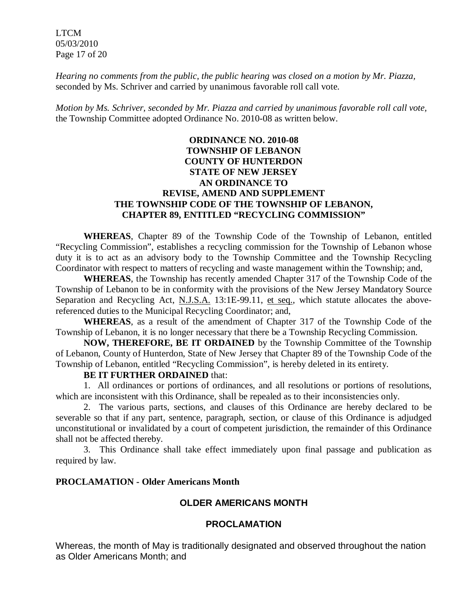LTCM 05/03/2010 Page 17 of 20

*Hearing no comments from the public, the public hearing was closed on a motion by Mr. Piazza,* seconded by Ms. Schriver and carried by unanimous favorable roll call vote.

*Motion by Ms. Schriver, seconded by Mr. Piazza and carried by unanimous favorable roll call vote,* the Township Committee adopted Ordinance No. 2010-08 as written below.

## **ORDINANCE NO. 2010-08 TOWNSHIP OF LEBANON COUNTY OF HUNTERDON STATE OF NEW JERSEY AN ORDINANCE TO REVISE, AMEND AND SUPPLEMENT THE TOWNSHIP CODE OF THE TOWNSHIP OF LEBANON, CHAPTER 89, ENTITLED "RECYCLING COMMISSION"**

**WHEREAS**, Chapter 89 of the Township Code of the Township of Lebanon, entitled "Recycling Commission", establishes a recycling commission for the Township of Lebanon whose duty it is to act as an advisory body to the Township Committee and the Township Recycling Coordinator with respect to matters of recycling and waste management within the Township; and,

**WHEREAS**, the Township has recently amended Chapter 317 of the Township Code of the Township of Lebanon to be in conformity with the provisions of the New Jersey Mandatory Source Separation and Recycling Act, N.J.S.A. 13:1E-99.11, et seq., which statute allocates the abovereferenced duties to the Municipal Recycling Coordinator; and,

**WHEREAS**, as a result of the amendment of Chapter 317 of the Township Code of the Township of Lebanon, it is no longer necessary that there be a Township Recycling Commission.

**NOW, THEREFORE, BE IT ORDAINED** by the Township Committee of the Township of Lebanon, County of Hunterdon, State of New Jersey that Chapter 89 of the Township Code of the Township of Lebanon, entitled "Recycling Commission", is hereby deleted in its entirety.

#### **BE IT FURTHER ORDAINED** that:

1. All ordinances or portions of ordinances, and all resolutions or portions of resolutions, which are inconsistent with this Ordinance, shall be repealed as to their inconsistencies only.

2. The various parts, sections, and clauses of this Ordinance are hereby declared to be severable so that if any part, sentence, paragraph, section, or clause of this Ordinance is adjudged unconstitutional or invalidated by a court of competent jurisdiction, the remainder of this Ordinance shall not be affected thereby.

3. This Ordinance shall take effect immediately upon final passage and publication as required by law.

## **PROCLAMATION - Older Americans Month**

#### **OLDER AMERICANS MONTH**

#### **PROCLAMATION**

Whereas, the month of May is traditionally designated and observed throughout the nation as Older Americans Month; and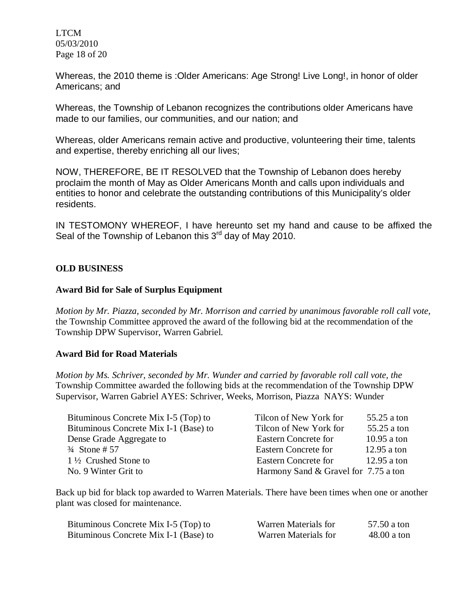LTCM 05/03/2010 Page 18 of 20

Whereas, the 2010 theme is :Older Americans: Age Strong! Live Long!, in honor of older Americans; and

Whereas, the Township of Lebanon recognizes the contributions older Americans have made to our families, our communities, and our nation; and

Whereas, older Americans remain active and productive, volunteering their time, talents and expertise, thereby enriching all our lives;

NOW, THEREFORE, BE IT RESOLVED that the Township of Lebanon does hereby proclaim the month of May as Older Americans Month and calls upon individuals and entities to honor and celebrate the outstanding contributions of this Municipality's older residents.

IN TESTOMONY WHEREOF, I have hereunto set my hand and cause to be affixed the Seal of the Township of Lebanon this 3<sup>rd</sup> day of May 2010.

### **OLD BUSINESS**

#### **Award Bid for Sale of Surplus Equipment**

*Motion by Mr. Piazza, seconded by Mr. Morrison and carried by unanimous favorable roll call vote,* the Township Committee approved the award of the following bid at the recommendation of the Township DPW Supervisor, Warren Gabriel.

#### **Award Bid for Road Materials**

*Motion by Ms. Schriver, seconded by Mr. Wunder and carried by favorable roll call vote, the* Township Committee awarded the following bids at the recommendation of the Township DPW Supervisor, Warren Gabriel AYES: Schriver, Weeks, Morrison, Piazza NAYS: Wunder

| Bituminous Concrete Mix I-5 (Top) to  | Tilcon of New York for               | 55.25 a ton   |
|---------------------------------------|--------------------------------------|---------------|
| Bituminous Concrete Mix I-1 (Base) to | Tilcon of New York for               | 55.25 a ton   |
| Dense Grade Aggregate to              | <b>Eastern Concrete for</b>          | $10.95$ a ton |
| $\frac{3}{4}$ Stone # 57              | <b>Eastern Concrete for</b>          | $12.95$ a ton |
| $1\frac{1}{2}$ Crushed Stone to       | Eastern Concrete for                 | $12.95$ a ton |
| No. 9 Winter Grit to                  | Harmony Sand & Gravel for 7.75 a ton |               |

Back up bid for black top awarded to Warren Materials. There have been times when one or another plant was closed for maintenance.

| Bituminous Concrete Mix I-5 (Top) to  | Warren Materials for | 57.50 a ton   |
|---------------------------------------|----------------------|---------------|
| Bituminous Concrete Mix I-1 (Base) to | Warren Materials for | $48.00$ a ton |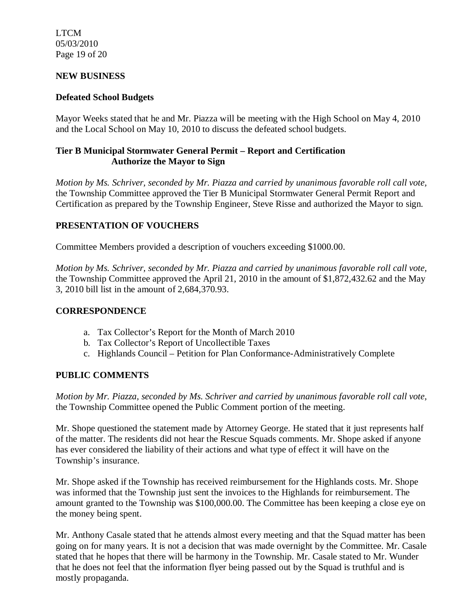LTCM 05/03/2010 Page 19 of 20

### **NEW BUSINESS**

### **Defeated School Budgets**

Mayor Weeks stated that he and Mr. Piazza will be meeting with the High School on May 4, 2010 and the Local School on May 10, 2010 to discuss the defeated school budgets.

## **Tier B Municipal Stormwater General Permit – Report and Certification Authorize the Mayor to Sign**

*Motion by Ms. Schriver, seconded by Mr. Piazza and carried by unanimous favorable roll call vote,* the Township Committee approved the Tier B Municipal Stormwater General Permit Report and Certification as prepared by the Township Engineer, Steve Risse and authorized the Mayor to sign.

## **PRESENTATION OF VOUCHERS**

Committee Members provided a description of vouchers exceeding \$1000.00.

*Motion by Ms. Schriver, seconded by Mr. Piazza and carried by unanimous favorable roll call vote,* the Township Committee approved the April 21, 2010 in the amount of \$1,872,432.62 and the May 3, 2010 bill list in the amount of 2,684,370.93.

### **CORRESPONDENCE**

- a. Tax Collector's Report for the Month of March 2010
- b. Tax Collector's Report of Uncollectible Taxes
- c. Highlands Council Petition for Plan Conformance-Administratively Complete

## **PUBLIC COMMENTS**

*Motion by Mr. Piazza, seconded by Ms. Schriver and carried by unanimous favorable roll call vote,* the Township Committee opened the Public Comment portion of the meeting.

Mr. Shope questioned the statement made by Attorney George. He stated that it just represents half of the matter. The residents did not hear the Rescue Squads comments. Mr. Shope asked if anyone has ever considered the liability of their actions and what type of effect it will have on the Township's insurance.

Mr. Shope asked if the Township has received reimbursement for the Highlands costs. Mr. Shope was informed that the Township just sent the invoices to the Highlands for reimbursement. The amount granted to the Township was \$100,000.00. The Committee has been keeping a close eye on the money being spent.

Mr. Anthony Casale stated that he attends almost every meeting and that the Squad matter has been going on for many years. It is not a decision that was made overnight by the Committee. Mr. Casale stated that he hopes that there will be harmony in the Township. Mr. Casale stated to Mr. Wunder that he does not feel that the information flyer being passed out by the Squad is truthful and is mostly propaganda.